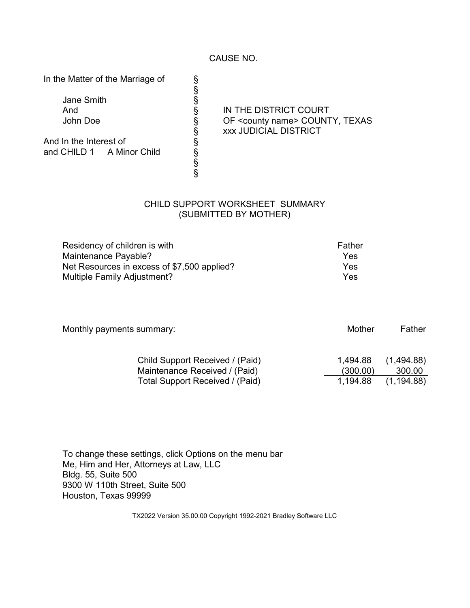CAUSE NO.

§

§ §

In the Matter of the Marriage of

Jane Smith

And In the Interest of and CHILD 1 A Minor Child

And **S** IN THE DISTRICT COURT John Doe **S** OF <county name> COUNTY, TEXAS § xxx JUDICIAL DISTRICT

## CHILD SUPPORT WORKSHEET SUMMARY (SUBMITTED BY MOTHER)

| Residency of children is with               | Father |
|---------------------------------------------|--------|
| Maintenance Payable?                        | Yes    |
| Net Resources in excess of \$7,500 applied? | Yes    |
| Multiple Family Adjustment?                 | Yes    |

| Monthly payments summary:                                        | Mother               | Father               |  |
|------------------------------------------------------------------|----------------------|----------------------|--|
| Child Support Received / (Paid)<br>Maintenance Received / (Paid) | 1,494.88<br>(300.00) | (1,494.88)<br>300.00 |  |
| Total Support Received / (Paid)                                  | 1,194.88             | (1, 194.88)          |  |

To change these settings, click Options on the menu bar Me, Him and Her, Attorneys at Law, LLC Bldg. 55, Suite 500 9300 W 110th Street, Suite 500 Houston, Texas 99999

TX2022 Version 35.00.00 Copyright 1992-2021 Bradley Software LLC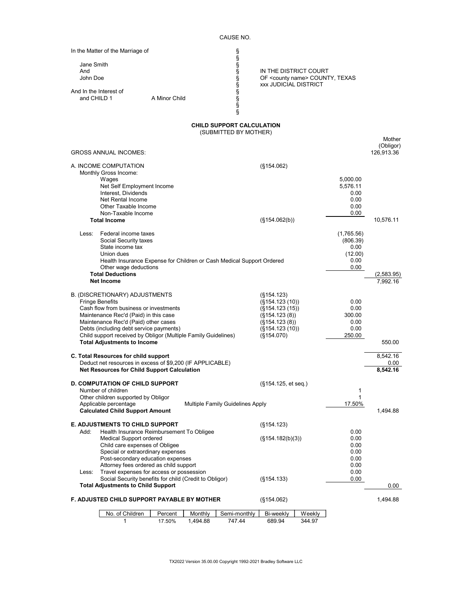| In the Matter of the Marriage of                                                                                |                                                           |                                                                             |                  |                     |
|-----------------------------------------------------------------------------------------------------------------|-----------------------------------------------------------|-----------------------------------------------------------------------------|------------------|---------------------|
| Jane Smith                                                                                                      | www.man.co.co.co.co.co.co.co                              |                                                                             |                  |                     |
| And                                                                                                             |                                                           | IN THE DISTRICT COURT                                                       |                  |                     |
| John Doe                                                                                                        |                                                           | OF <county name=""> COUNTY, TEXAS<br/><b>xxx JUDICIAL DISTRICT</b></county> |                  |                     |
| And In the Interest of                                                                                          |                                                           |                                                                             |                  |                     |
| and CHILD 1<br>A Minor Child                                                                                    |                                                           |                                                                             |                  |                     |
|                                                                                                                 |                                                           |                                                                             |                  |                     |
|                                                                                                                 | <b>CHILD SUPPORT CALCULATION</b><br>(SUBMITTED BY MOTHER) |                                                                             |                  |                     |
|                                                                                                                 |                                                           |                                                                             |                  | Mother<br>(Obligor) |
| <b>GROSS ANNUAL INCOMES:</b>                                                                                    |                                                           |                                                                             |                  | 126,913.36          |
| A. INCOME COMPUTATION<br>Monthly Gross Income:                                                                  | (S154.062)                                                |                                                                             |                  |                     |
| Wages                                                                                                           |                                                           |                                                                             | 5,000.00         |                     |
| Net Self Employment Income<br>Interest, Dividends                                                               |                                                           |                                                                             | 5,576.11<br>0.00 |                     |
| Net Rental Income                                                                                               |                                                           |                                                                             | 0.00             |                     |
| Other Taxable Income<br>Non-Taxable Income                                                                      |                                                           |                                                                             | 0.00<br>$0.00\,$ |                     |
| <b>Total Income</b>                                                                                             |                                                           | (S154.062(b))                                                               |                  | 10,576.11           |
| Less:<br>Federal income taxes                                                                                   |                                                           |                                                                             | (1,765.56)       |                     |
| Social Security taxes<br>State income tax                                                                       |                                                           |                                                                             | (806.39)<br>0.00 |                     |
| Union dues                                                                                                      |                                                           |                                                                             | (12.00)          |                     |
| Health Insurance Expense for Children or Cash Medical Support Ordered                                           |                                                           |                                                                             | 0.00<br>0.00     |                     |
| Other wage deductions<br><b>Total Deductions</b>                                                                |                                                           |                                                                             |                  | (2,583.95)          |
| Net Income                                                                                                      |                                                           |                                                                             |                  | 7,992.16            |
| B. (DISCRETIONARY) ADJUSTMENTS                                                                                  |                                                           | (S154.123)                                                                  |                  |                     |
| <b>Fringe Benefits</b><br>Cash flow from business or investments                                                |                                                           | (S154.123(10))                                                              | 0.00<br>0.00     |                     |
| Maintenance Rec'd (Paid) in this case                                                                           |                                                           | (S154.123(15))<br>(S154.123(8))                                             | 300.00           |                     |
| Maintenance Rec'd (Paid) other cases<br>Debts (including debt service payments)                                 |                                                           | (S154.123(8))                                                               | 0.00<br>0.00     |                     |
| Child support received by Obligor (Multiple Family Guidelines)                                                  |                                                           | (S154.123(10))<br>(S154.070)                                                | 250.00           |                     |
| <b>Total Adjustments to Income</b>                                                                              |                                                           |                                                                             |                  | 550.00              |
| C. Total Resources for child support                                                                            |                                                           |                                                                             |                  | 8.542.16            |
| Deduct net resources in excess of \$9,200 (IF APPLICABLE)<br><b>Net Resources for Child Support Calculation</b> |                                                           |                                                                             |                  | 0.00<br>8,542.16    |
|                                                                                                                 |                                                           |                                                                             |                  |                     |
| <b>D. COMPUTATION OF CHILD SUPPORT</b><br>Number of children                                                    |                                                           | (§154.125, et seq.)                                                         | 1                |                     |
| Other children supported by Obligor                                                                             |                                                           |                                                                             | 1                |                     |
| Applicable percentage<br><b>Calculated Child Support Amount</b>                                                 | Multiple Family Guidelines Apply                          |                                                                             | 17.50%           | 1,494.88            |
| <b>E. ADJUSTMENTS TO CHILD SUPPORT</b>                                                                          |                                                           |                                                                             |                  |                     |
| Add:<br>Health Insurance Reimbursement To Obligee                                                               |                                                           | (S154.123)                                                                  | 0.00             |                     |
| <b>Medical Support ordered</b>                                                                                  |                                                           | (S154.182(b)(3))                                                            | 0.00             |                     |
| Child care expenses of Obligee<br>Special or extraordinary expenses                                             |                                                           |                                                                             | 0.00<br>0.00     |                     |
| Post-secondary education expenses                                                                               |                                                           |                                                                             | 0.00             |                     |
| Attorney fees ordered as child support<br>Travel expenses for access or possession<br>Less:                     |                                                           |                                                                             | 0.00<br>0.00     |                     |
| Social Security benefits for child (Credit to Obligor)<br><b>Total Adjustments to Child Support</b>             |                                                           | (S154.133)                                                                  | $0.00\,$         | 0.00                |
|                                                                                                                 |                                                           |                                                                             |                  |                     |
| F. ADJUSTED CHILD SUPPORT PAYABLE BY MOTHER                                                                     |                                                           | (S154.062)                                                                  |                  | 1,494.88            |
| No. of Children<br>Monthly<br>Percent<br>1,494.88<br>1<br>17.50%                                                | Semi-monthly<br>747.44                                    | Weekly<br>Bi-weekly<br>689.94<br>344.97                                     |                  |                     |
|                                                                                                                 |                                                           |                                                                             |                  |                     |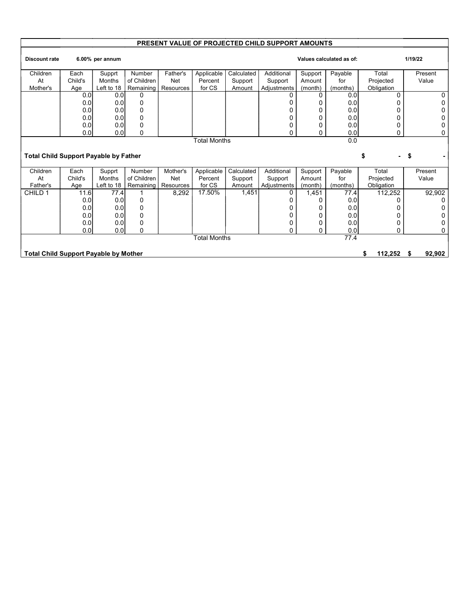## PRESENT VALUE OF PROJECTED CHILD SUPPORT AMOUNTS

| <b>Discount rate</b>                         |                  | 6.00% per annum |             |            |                     |            |             |         | Values calculated as of: |               | 1/19/22     |
|----------------------------------------------|------------------|-----------------|-------------|------------|---------------------|------------|-------------|---------|--------------------------|---------------|-------------|
| Children                                     | Each             | Supprt          | Number      | Father's   | Applicable          | Calculated | Additional  | Support | Payable                  | Total         | Present     |
| At                                           | Child's          | Months          | of Children | <b>Net</b> | Percent             | Support    | Support     | Amount  | for                      | Projected     | Value       |
| Mother's                                     | Age              | Left to 18      | Remaining   | Resources  | for CS              | Amount     | Adjustments | (month) | (months)                 | Obligation    |             |
|                                              | 0.0              | 0.0             |             |            |                     |            |             | 0       | 0.0                      |               |             |
|                                              | 0.0              | 0.0             | 0           |            |                     |            |             |         | 0.0                      |               | 0           |
|                                              | 0.0              | 0.0             | 0           |            |                     |            |             | 0       | 0.0                      |               |             |
|                                              | 0.0              | 0.0             | ŋ           |            |                     |            |             | 0       | 0.0                      |               |             |
|                                              | 0.0              | 0.0             | O           |            |                     |            |             | 0       | 0.0                      | 0             |             |
|                                              | 0.0 <sub>l</sub> | 0.0             | 0           |            |                     |            | 0           | 0       | 0.0                      | 0             | 0           |
|                                              |                  |                 |             |            | Total Months        |            |             |         | 0.0                      |               |             |
|                                              |                  |                 |             |            |                     |            |             |         |                          |               |             |
| <b>Total Child Support Payable by Father</b> |                  |                 |             |            |                     |            |             |         |                          |               | \$          |
| Children                                     | Each             | Supprt          | Number      | Mother's   | Applicable          | Calculated | Additional  | Support | Payable                  | Total         | Present     |
| At                                           | Child's          | <b>Months</b>   | of Children | <b>Net</b> | Percent             | Support    | Support     | Amount  | for                      | Projected     | Value       |
| Father's                                     | Age              | Left to 18      | Remaining   | Resources  | for CS              | Amount     | Adjustments | (month) | (months)                 | Obligation    |             |
| CHILD 1                                      | 11.6             | 77.4            |             | 8,292      | 17.50%              | 1,451      | 0           | 1,451   | 77.4                     | 112,252       | 92,902      |
|                                              | 0.0              | 0.0             | 0           |            |                     |            | O           | U       | 0.0                      |               | 0           |
|                                              | 0.0              | 0.0             | $\Omega$    |            |                     |            |             |         | 0.0                      |               |             |
|                                              | 0.0              | 0.0             | ŋ           |            |                     |            |             | 0       | 0.0                      |               |             |
|                                              | 0.0              | 0.0             |             |            |                     |            |             | 0       | 0.0                      | 0             |             |
|                                              | 0.0              | 0.0             | 0           |            |                     |            | 0           | 0       | 0.0                      | 0             | 0           |
|                                              |                  |                 |             |            | <b>Total Months</b> |            |             |         | 77.4                     |               |             |
| <b>Total Child Support Payable by Mother</b> |                  |                 |             |            |                     |            |             |         |                          | 112,252<br>\$ | 92,902<br>S |